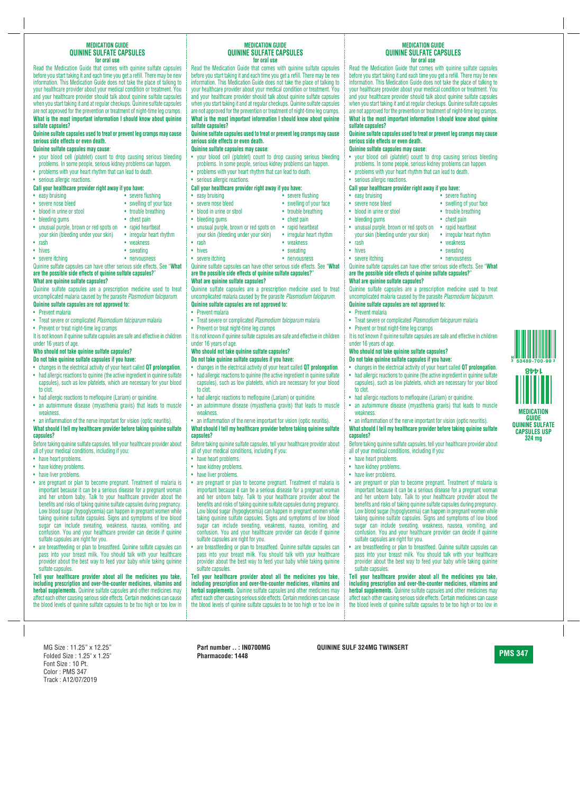## **MEDICATION GUIDE QUININE SULFATE CAPSULES for oral use**

Read the Medication Guide that comes with quinine sulfate capsules before you start taking it and each time you get a refill. There may be new information. This Medication Guide does not take the place of talking to your healthcare provider about your medical condition or treatment. You and your healthcare provider should talk about quinine sulfate capsules when you start taking it and at regular checkups. Quinine sulfate capsules are not approved for the prevention or treatment of night-time leg cramps. **What is the most important information I should know about quinine sulfate capsules?**

**Quinine sulfate capsules used to treat or prevent leg cramps may cause serious side effects or even death.**

## **Quinine sulfate capsules may cause**:

- your blood cell (platelet) count to drop causing serious bleeding problems. In some people, serious kidney problems can happen.
- problems with your heart rhythm that can lead to death.
- serious allergic reactions.

# **Call your healthcare provider right away if you have:**

- 
- 
- blood in urine or stool trouble breathing
- bleeding gums chest pain
- unusual purple, brown or red spots on rapid heartbeat your skin (bleeding under your skin) • irregular heart rhythm
- 
- 
- 
- easy bruising **•** severe flushing
- severe nose bleed swelling of your face

- 
- 
- 
- 
- rash weakness
- hives sweating
- severe itching **•** nervousness

Quinine sulfate capsules can have other serious side effects. See "**What are the possible side effects of quinine sulfate capsules?**" **What are quinine sulfate capsules?**

Quinine sulfate capsules are a prescription medicine used to treat uncomplicated malaria caused by the parasite *Plasmodium falciparum*. **Quinine sulfate capsules are not approved to:**

- Prevent malaria
- Treat severe or complicated *Plasmodium falciparum* malaria
- Prevent or treat night-time leg cramps

It is not known if quinine sulfate capsules are safe and effective in children under 16 years of age.

# **Who should not take quinine sulfate capsules?**

- **Do not take quinine sulfate capsules if you have:**
- changes in the electrical activity of your heart called **QT prolongation**.
- had allergic reactions to quinine (the active ingredient in quinine sulfate capsules), such as low platelets, which are necessary for your blood to clot.
- had allergic reactions to mefloquine (Lariam) or quinidine.
- an autoimmune disease (myasthenia gravis) that leads to muscle weakness.
- an inflammation of the nerve important for vision (optic neuritis).

# **What should I tell my healthcare provider before taking quinine sulfate capsules?**

Before taking quinine sulfate capsules, tell your healthcare provider about all of your medical conditions, including if you:

- have heart problems.
- have kidney problems.
- have liver problems.
- are pregnant or plan to become pregnant. Treatment of malaria is important because it can be a serious disease for a pregnant woman and her unborn baby. Talk to your healthcare provider about the benefits and risks of taking quinine sulfate capsules during pregnancy. Low blood sugar (hypoglycemia) can happen in pregnant women while taking quinine sulfate capsules. Signs and symptoms of low blood sugar can include sweating, weakness, nausea, vomiting, and confusion. You and your healthcare provider can decide if quinine sulfate capsules are right for you.
- are breastfeeding or plan to breastfeed. Quinine sulfate capsules can pass into your breast milk. You should talk with your healthcare provider about the best way to feed your baby while taking quinine sulfate capsules.

**Tell your healthcare provider about all the medicines you take, including prescription and over-the-counter medicines, vitamins and herbal supplements.** Quinine sulfate capsules and other medicines may affect each other causing serious side effects. Certain medicines can cause the blood levels of quinine sulfate capsules to be too high or too low in